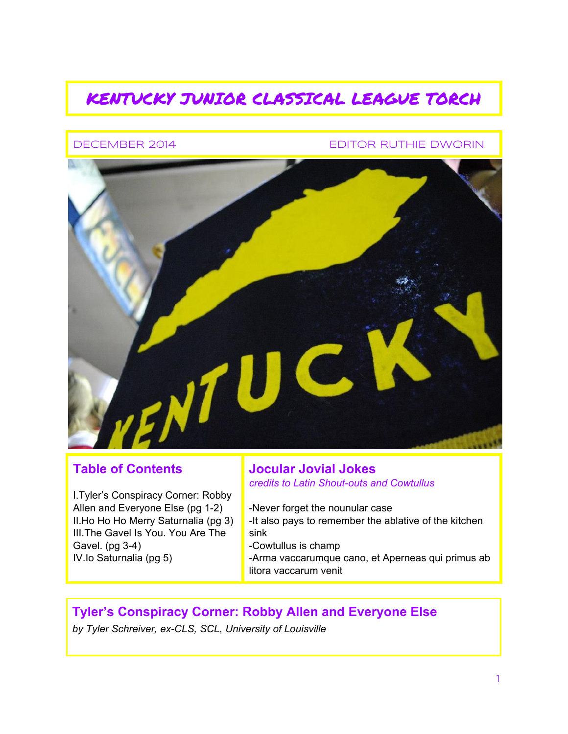# KENTUCKY JUNIOR CLASSICAL LEAGUE TORCH

#### DECEMBER 2014 EDITOR RUTHIE DWORIN



### **Table of Contents**

I.Tyler's Conspiracy Corner: Robby Allen and Everyone Else (pg 1-2) II.Ho Ho Ho Merry Saturnalia (pg 3) III.The Gavel Is You. You Are The Gavel.  $(pg 3-4)$ IV.Io Saturnalia (pg 5)

#### **Jocular Jovial Jokes** *credits to Latin Shout-outs and Cowtullus*

Never forget the nounular case -It also pays to remember the ablative of the kitchen sink Cowtullus is champ Arma vaccarumque cano, et Aperneas qui primus ab litora vaccarum venit

## **Tyler's Conspiracy Corner: Robby Allen and Everyone Else**

*by Tyler Schreiver, exCLS, SCL, University of Louisville*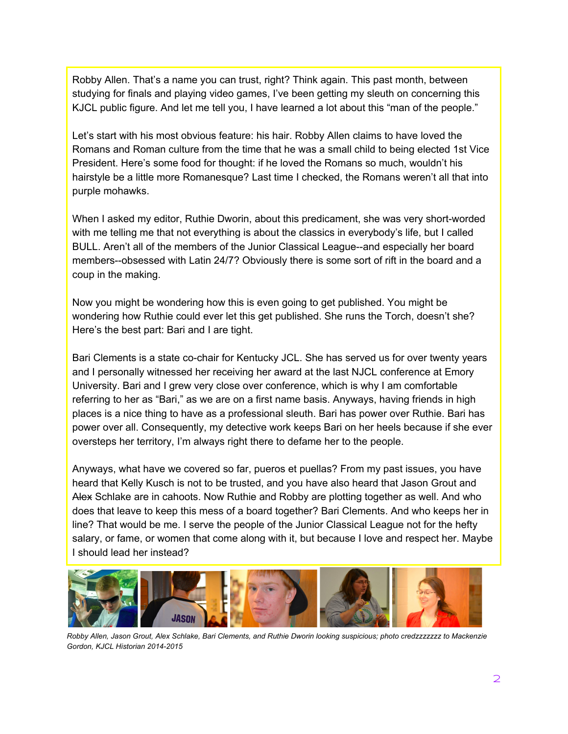Robby Allen. That's a name you can trust, right? Think again. This past month, between studying for finals and playing video games, I've been getting my sleuth on concerning this KJCL public figure. And let me tell you, I have learned a lot about this "man of the people."

Let's start with his most obvious feature: his hair. Robby Allen claims to have loved the Romans and Roman culture from the time that he was a small child to being elected 1st Vice President. Here's some food for thought: if he loved the Romans so much, wouldn't his hairstyle be a little more Romanesque? Last time I checked, the Romans weren't all that into purple mohawks.

When I asked my editor, Ruthie Dworin, about this predicament, she was very short-worded with me telling me that not everything is about the classics in everybody's life, but I called BULL. Aren't all of the members of the Junior Classical League--and especially her board members--obsessed with Latin 24/7? Obviously there is some sort of rift in the board and a coup in the making.

Now you might be wondering how this is even going to get published. You might be wondering how Ruthie could ever let this get published. She runs the Torch, doesn't she? Here's the best part: Bari and I are tight.

Bari Clements is a state co-chair for Kentucky JCL. She has served us for over twenty years and I personally witnessed her receiving her award at the last NJCL conference at Emory University. Bari and I grew very close over conference, which is why I am comfortable referring to her as "Bari," as we are on a first name basis. Anyways, having friends in high places is a nice thing to have as a professional sleuth. Bari has power over Ruthie. Bari has power over all. Consequently, my detective work keeps Bari on her heels because if she ever oversteps her territory, I'm always right there to defame her to the people.

Anyways, what have we covered so far, pueros et puellas? From my past issues, you have heard that Kelly Kusch is not to be trusted, and you have also heard that Jason Grout and Alex Schlake are in cahoots. Now Ruthie and Robby are plotting together as well. And who does that leave to keep this mess of a board together? Bari Clements. And who keeps her in line? That would be me. I serve the people of the Junior Classical League not for the hefty salary, or fame, or women that come along with it, but because I love and respect her. Maybe I should lead her instead?



Robby Allen, Jason Grout, Alex Schlake, Bari Clements, and Ruthie Dworin looking suspicious; photo credzzzzzzz to Mackenzie *Gordon, KJCL Historian 2014-2015*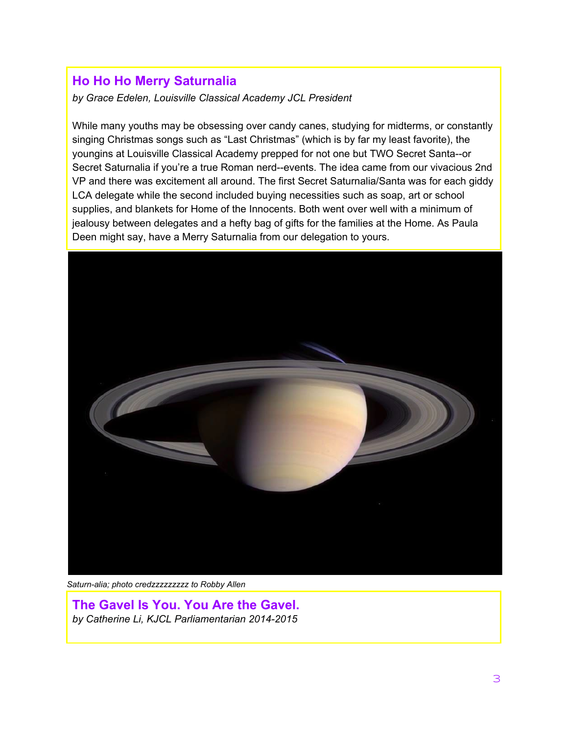# **Ho Ho Ho Merry Saturnalia**

*by Grace Edelen, Louisville Classical Academy JCL President*

While many youths may be obsessing over candy canes, studying for midterms, or constantly singing Christmas songs such as "Last Christmas" (which is by far my least favorite), the youngins at Louisville Classical Academy prepped for not one but TWO Secret Santa--or Secret Saturnalia if you're a true Roman nerd--events. The idea came from our vivacious 2nd VP and there was excitement all around. The first Secret Saturnalia/Santa was for each giddy LCA delegate while the second included buying necessities such as soap, art or school supplies, and blankets for Home of the Innocents. Both went over well with a minimum of jealousy between delegates and a hefty bag of gifts for the families at the Home. As Paula Deen might say, have a Merry Saturnalia from our delegation to yours.



*Saturnalia; photo credzzzzzzzzz to Robby Allen*

**The Gavel Is You. You Are the Gavel.** *by Catherine Li, KJCL Parliamentarian 20142015*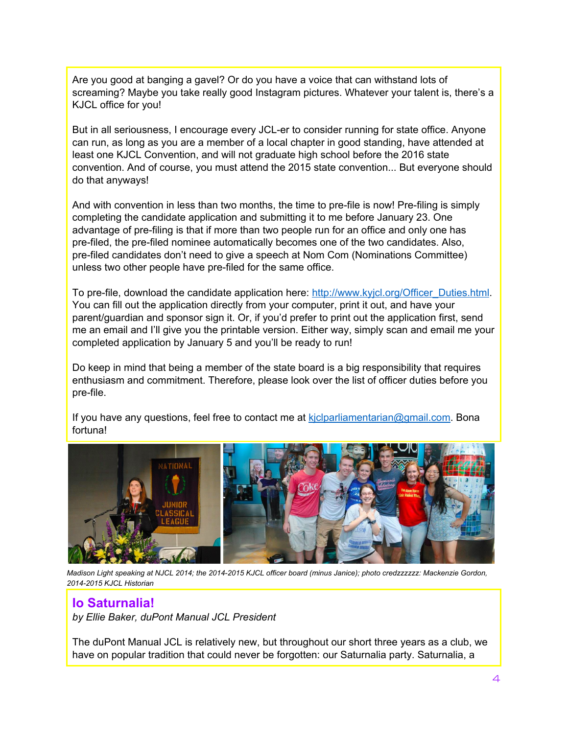Are you good at banging a gavel? Or do you have a voice that can withstand lots of screaming? Maybe you take really good Instagram pictures. Whatever your talent is, there's a KJCL office for you!

But in all seriousness, I encourage every JCL-er to consider running for state office. Anyone can run, as long as you are a member of a local chapter in good standing, have attended at least one KJCL Convention, and will not graduate high school before the 2016 state convention. And of course, you must attend the 2015 state convention... But everyone should do that anyways!

And with convention in less than two months, the time to pre-file is now! Pre-filing is simply completing the candidate application and submitting it to me before January 23. One advantage of pre-filing is that if more than two people run for an office and only one has prefiled, the prefiled nominee automatically becomes one of the two candidates. Also, pre-filed candidates don't need to give a speech at Nom Com (Nominations Committee) unless two other people have pre-filed for the same office.

To pre-file, download the candidate application here: [http://www.kyjcl.org/Officer\\_Duties.html.](http://www.kyjcl.org/Officer_Duties.html) You can fill out the application directly from your computer, print it out, and have your parent/guardian and sponsor sign it. Or, if you'd prefer to print out the application first, send me an email and I'll give you the printable version. Either way, simply scan and email me your completed application by January 5 and you'll be ready to run!

Do keep in mind that being a member of the state board is a big responsibility that requires enthusiasm and commitment. Therefore, please look over the list of officer duties before you pre-file.

If you have any questions, feel free to contact me at kiclparliamentarian@gmail.com. Bona fortuna!



Madison Light speaking at NJCL 2014; the 2014-2015 KJCL officer board (minus Janice); photo credzzzzzz: Mackenzie Gordon, *20142015 KJCL Historian*

### **Io Saturnalia!**

*by Ellie Baker, duPont Manual JCL President*

The duPont Manual JCL is relatively new, but throughout our short three years as a club, we have on popular tradition that could never be forgotten: our Saturnalia party. Saturnalia, a